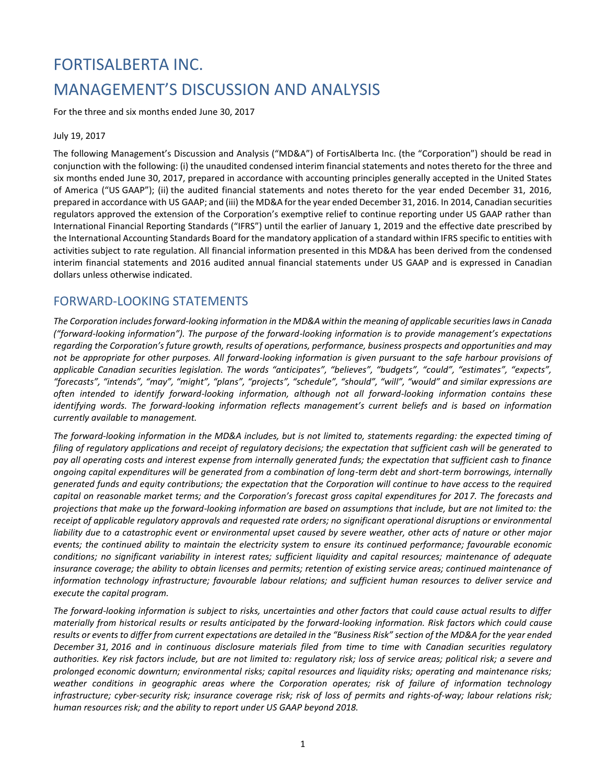# FORTISALBERTA INC. MANAGEMENT'S DISCUSSION AND ANALYSIS

For the three and six months ended June 30, 2017

July 19, 2017

The following Management's Discussion and Analysis ("MD&A") of FortisAlberta Inc. (the "Corporation") should be read in conjunction with the following: (i) the unaudited condensed interim financial statements and notes thereto for the three and six months ended June 30, 2017, prepared in accordance with accounting principles generally accepted in the United States of America ("US GAAP"); (ii) the audited financial statements and notes thereto for the year ended December 31, 2016, prepared in accordance with US GAAP; and (iii) the MD&A for the year ended December 31, 2016. In 2014, Canadian securities regulators approved the extension of the Corporation's exemptive relief to continue reporting under US GAAP rather than International Financial Reporting Standards ("IFRS") until the earlier of January 1, 2019 and the effective date prescribed by the International Accounting Standards Board for the mandatory application of a standard within IFRS specific to entities with activities subject to rate regulation. All financial information presented in this MD&A has been derived from the condensed interim financial statements and 2016 audited annual financial statements under US GAAP and is expressed in Canadian dollars unless otherwise indicated.

# FORWARD-LOOKING STATEMENTS

*The Corporation includes forward-looking information in the MD&A within the meaning of applicable securities laws in Canada ("forward-looking information"). The purpose of the forward-looking information is to provide management's expectations regarding the Corporation's future growth, results of operations, performance, business prospects and opportunities and may not be appropriate for other purposes. All forward-looking information is given pursuant to the safe harbour provisions of applicable Canadian securities legislation. The words "anticipates", "believes", "budgets", "could", "estimates", "expects", "forecasts", "intends", "may", "might", "plans", "projects", "schedule", "should", "will", "would" and similar expressions are often intended to identify forward-looking information, although not all forward-looking information contains these identifying words. The forward-looking information reflects management's current beliefs and is based on information currently available to management.*

*The forward-looking information in the MD&A includes, but is not limited to, statements regarding: the expected timing of filing of regulatory applications and receipt of regulatory decisions; the expectation that sufficient cash will be generated to pay all operating costs and interest expense from internally generated funds; the expectation that sufficient cash to finance ongoing capital expenditures will be generated from a combination of long-term debt and short-term borrowings, internally generated funds and equity contributions; the expectation that the Corporation will continue to have access to the required capital on reasonable market terms; and the Corporation's forecast gross capital expenditures for 2017. The forecasts and projections that make up the forward-looking information are based on assumptions that include, but are not limited to: the receipt of applicable regulatory approvals and requested rate orders; no significant operational disruptions or environmental liability due to a catastrophic event or environmental upset caused by severe weather, other acts of nature or other major events; the continued ability to maintain the electricity system to ensure its continued performance; favourable economic conditions; no significant variability in interest rates; sufficient liquidity and capital resources; maintenance of adequate insurance coverage; the ability to obtain licenses and permits; retention of existing service areas; continued maintenance of information technology infrastructure; favourable labour relations; and sufficient human resources to deliver service and execute the capital program.* 

*The forward-looking information is subject to risks, uncertainties and other factors that could cause actual results to differ materially from historical results or results anticipated by the forward-looking information. Risk factors which could cause results or events to differ from current expectations are detailed in the "Business Risk" section of the MD&A for the year ended December 31, 2016 and in continuous disclosure materials filed from time to time with Canadian securities regulatory authorities. Key risk factors include, but are not limited to: regulatory risk; loss of service areas; political risk; a severe and prolonged economic downturn; environmental risks; capital resources and liquidity risks; operating and maintenance risks; weather conditions in geographic areas where the Corporation operates; risk of failure of information technology infrastructure; cyber-security risk; insurance coverage risk; risk of loss of permits and rights-of-way; labour relations risk; human resources risk; and the ability to report under US GAAP beyond 2018.*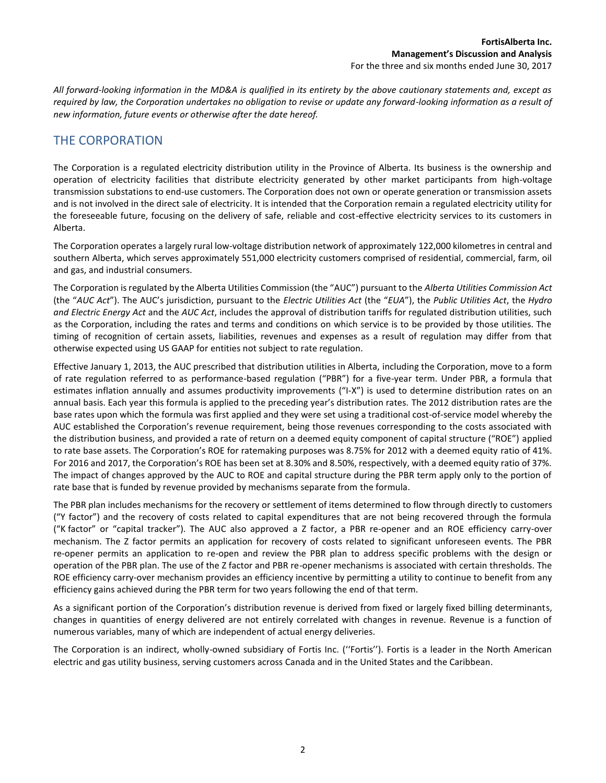*All forward-looking information in the MD&A is qualified in its entirety by the above cautionary statements and, except as required by law, the Corporation undertakes no obligation to revise or update any forward-looking information as a result of new information, future events or otherwise after the date hereof.*

# THE CORPORATION

The Corporation is a regulated electricity distribution utility in the Province of Alberta. Its business is the ownership and operation of electricity facilities that distribute electricity generated by other market participants from high-voltage transmission substations to end-use customers. The Corporation does not own or operate generation or transmission assets and is not involved in the direct sale of electricity. It is intended that the Corporation remain a regulated electricity utility for the foreseeable future, focusing on the delivery of safe, reliable and cost-effective electricity services to its customers in Alberta.

The Corporation operates a largely rural low-voltage distribution network of approximately 122,000 kilometres in central and southern Alberta, which serves approximately 551,000 electricity customers comprised of residential, commercial, farm, oil and gas, and industrial consumers.

The Corporation is regulated by the Alberta Utilities Commission (the "AUC") pursuant to the *Alberta Utilities Commission Act* (the "*AUC Act*"). The AUC's jurisdiction, pursuant to the *Electric Utilities Act* (the "*EUA*"), the *Public Utilities Act*, the *Hydro and Electric Energy Act* and the *AUC Act*, includes the approval of distribution tariffs for regulated distribution utilities, such as the Corporation, including the rates and terms and conditions on which service is to be provided by those utilities. The timing of recognition of certain assets, liabilities, revenues and expenses as a result of regulation may differ from that otherwise expected using US GAAP for entities not subject to rate regulation.

Effective January 1, 2013, the AUC prescribed that distribution utilities in Alberta, including the Corporation, move to a form of rate regulation referred to as performance-based regulation ("PBR") for a five-year term. Under PBR, a formula that estimates inflation annually and assumes productivity improvements ("I-X") is used to determine distribution rates on an annual basis. Each year this formula is applied to the preceding year's distribution rates. The 2012 distribution rates are the base rates upon which the formula was first applied and they were set using a traditional cost-of-service model whereby the AUC established the Corporation's revenue requirement, being those revenues corresponding to the costs associated with the distribution business, and provided a rate of return on a deemed equity component of capital structure ("ROE") applied to rate base assets. The Corporation's ROE for ratemaking purposes was 8.75% for 2012 with a deemed equity ratio of 41%. For 2016 and 2017, the Corporation's ROE has been set at 8.30% and 8.50%, respectively, with a deemed equity ratio of 37%. The impact of changes approved by the AUC to ROE and capital structure during the PBR term apply only to the portion of rate base that is funded by revenue provided by mechanisms separate from the formula.

The PBR plan includes mechanisms for the recovery or settlement of items determined to flow through directly to customers ("Y factor") and the recovery of costs related to capital expenditures that are not being recovered through the formula ("K factor" or "capital tracker"). The AUC also approved a Z factor, a PBR re-opener and an ROE efficiency carry-over mechanism. The Z factor permits an application for recovery of costs related to significant unforeseen events. The PBR re-opener permits an application to re-open and review the PBR plan to address specific problems with the design or operation of the PBR plan. The use of the Z factor and PBR re-opener mechanisms is associated with certain thresholds. The ROE efficiency carry-over mechanism provides an efficiency incentive by permitting a utility to continue to benefit from any efficiency gains achieved during the PBR term for two years following the end of that term.

As a significant portion of the Corporation's distribution revenue is derived from fixed or largely fixed billing determinants, changes in quantities of energy delivered are not entirely correlated with changes in revenue. Revenue is a function of numerous variables, many of which are independent of actual energy deliveries.

The Corporation is an indirect, wholly-owned subsidiary of Fortis Inc. (''Fortis''). Fortis is a leader in the North American electric and gas utility business, serving customers across Canada and in the United States and the Caribbean.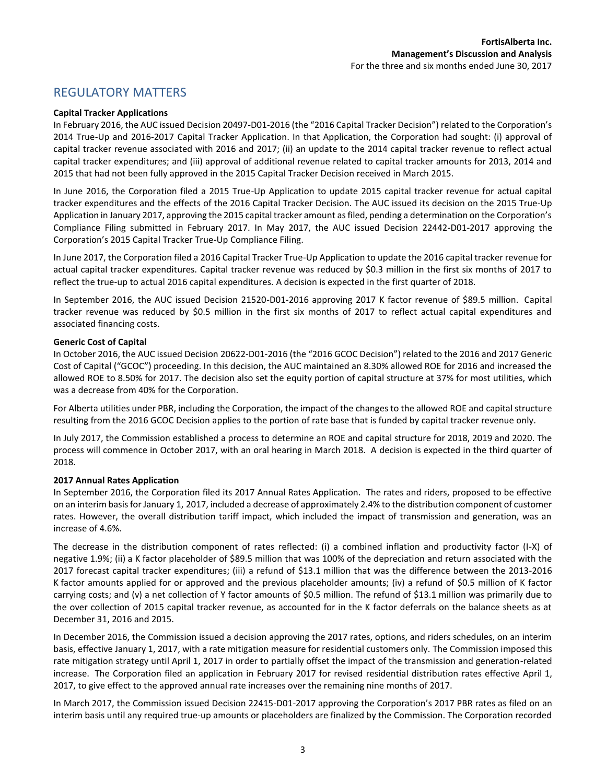# REGULATORY MATTERS

#### **Capital Tracker Applications**

In February 2016, the AUC issued Decision 20497-D01-2016 (the "2016 Capital Tracker Decision") related to the Corporation's 2014 True-Up and 2016-2017 Capital Tracker Application. In that Application, the Corporation had sought: (i) approval of capital tracker revenue associated with 2016 and 2017; (ii) an update to the 2014 capital tracker revenue to reflect actual capital tracker expenditures; and (iii) approval of additional revenue related to capital tracker amounts for 2013, 2014 and 2015 that had not been fully approved in the 2015 Capital Tracker Decision received in March 2015.

In June 2016, the Corporation filed a 2015 True-Up Application to update 2015 capital tracker revenue for actual capital tracker expenditures and the effects of the 2016 Capital Tracker Decision. The AUC issued its decision on the 2015 True-Up Application in January 2017, approving the 2015 capital tracker amount as filed, pending a determination on the Corporation's Compliance Filing submitted in February 2017. In May 2017, the AUC issued Decision 22442-D01-2017 approving the Corporation's 2015 Capital Tracker True-Up Compliance Filing.

In June 2017, the Corporation filed a 2016 Capital Tracker True-Up Application to update the 2016 capital tracker revenue for actual capital tracker expenditures. Capital tracker revenue was reduced by \$0.3 million in the first six months of 2017 to reflect the true-up to actual 2016 capital expenditures. A decision is expected in the first quarter of 2018.

In September 2016, the AUC issued Decision 21520-D01-2016 approving 2017 K factor revenue of \$89.5 million. Capital tracker revenue was reduced by \$0.5 million in the first six months of 2017 to reflect actual capital expenditures and associated financing costs.

#### **Generic Cost of Capital**

In October 2016, the AUC issued Decision 20622-D01-2016 (the "2016 GCOC Decision") related to the 2016 and 2017 Generic Cost of Capital ("GCOC") proceeding. In this decision, the AUC maintained an 8.30% allowed ROE for 2016 and increased the allowed ROE to 8.50% for 2017. The decision also set the equity portion of capital structure at 37% for most utilities, which was a decrease from 40% for the Corporation.

For Alberta utilities under PBR, including the Corporation, the impact of the changes to the allowed ROE and capital structure resulting from the 2016 GCOC Decision applies to the portion of rate base that is funded by capital tracker revenue only.

In July 2017, the Commission established a process to determine an ROE and capital structure for 2018, 2019 and 2020. The process will commence in October 2017, with an oral hearing in March 2018. A decision is expected in the third quarter of 2018.

#### **2017 Annual Rates Application**

In September 2016, the Corporation filed its 2017 Annual Rates Application. The rates and riders, proposed to be effective on an interim basis for January 1, 2017, included a decrease of approximately 2.4% to the distribution component of customer rates. However, the overall distribution tariff impact, which included the impact of transmission and generation, was an increase of 4.6%.

The decrease in the distribution component of rates reflected: (i) a combined inflation and productivity factor (I-X) of negative 1.9%; (ii) a K factor placeholder of \$89.5 million that was 100% of the depreciation and return associated with the 2017 forecast capital tracker expenditures; (iii) a refund of \$13.1 million that was the difference between the 2013-2016 K factor amounts applied for or approved and the previous placeholder amounts; (iv) a refund of \$0.5 million of K factor carrying costs; and (v) a net collection of Y factor amounts of \$0.5 million. The refund of \$13.1 million was primarily due to the over collection of 2015 capital tracker revenue, as accounted for in the K factor deferrals on the balance sheets as at December 31, 2016 and 2015.

In December 2016, the Commission issued a decision approving the 2017 rates, options, and riders schedules, on an interim basis, effective January 1, 2017, with a rate mitigation measure for residential customers only. The Commission imposed this rate mitigation strategy until April 1, 2017 in order to partially offset the impact of the transmission and generation-related increase. The Corporation filed an application in February 2017 for revised residential distribution rates effective April 1, 2017, to give effect to the approved annual rate increases over the remaining nine months of 2017.

In March 2017, the Commission issued Decision 22415-D01-2017 approving the Corporation's 2017 PBR rates as filed on an interim basis until any required true-up amounts or placeholders are finalized by the Commission. The Corporation recorded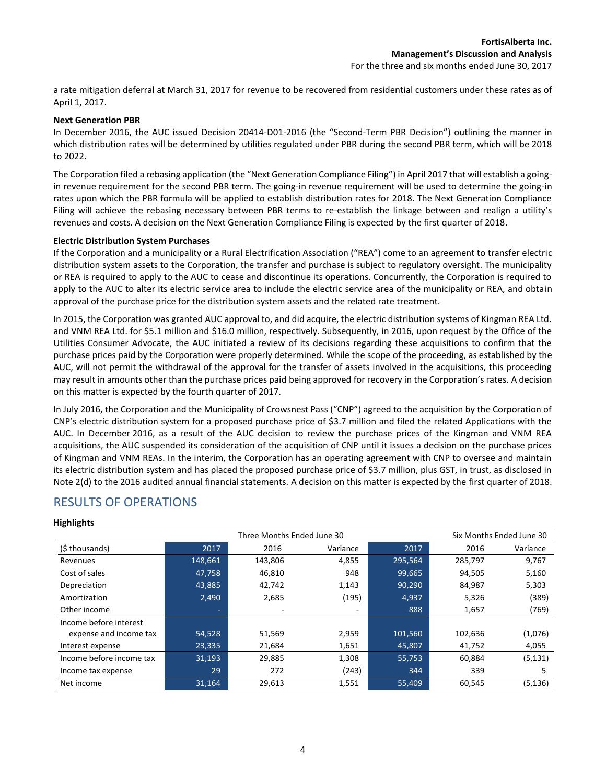a rate mitigation deferral at March 31, 2017 for revenue to be recovered from residential customers under these rates as of April 1, 2017.

#### **Next Generation PBR**

In December 2016, the AUC issued Decision 20414-D01-2016 (the "Second-Term PBR Decision") outlining the manner in which distribution rates will be determined by utilities regulated under PBR during the second PBR term, which will be 2018 to 2022.

The Corporation filed a rebasing application (the "Next Generation Compliance Filing") in April 2017 that will establish a goingin revenue requirement for the second PBR term. The going-in revenue requirement will be used to determine the going-in rates upon which the PBR formula will be applied to establish distribution rates for 2018. The Next Generation Compliance Filing will achieve the rebasing necessary between PBR terms to re-establish the linkage between and realign a utility's revenues and costs. A decision on the Next Generation Compliance Filing is expected by the first quarter of 2018.

#### **Electric Distribution System Purchases**

If the Corporation and a municipality or a Rural Electrification Association ("REA") come to an agreement to transfer electric distribution system assets to the Corporation, the transfer and purchase is subject to regulatory oversight. The municipality or REA is required to apply to the AUC to cease and discontinue its operations. Concurrently, the Corporation is required to apply to the AUC to alter its electric service area to include the electric service area of the municipality or REA, and obtain approval of the purchase price for the distribution system assets and the related rate treatment.

In 2015, the Corporation was granted AUC approval to, and did acquire, the electric distribution systems of Kingman REA Ltd. and VNM REA Ltd. for \$5.1 million and \$16.0 million, respectively. Subsequently, in 2016, upon request by the Office of the Utilities Consumer Advocate, the AUC initiated a review of its decisions regarding these acquisitions to confirm that the purchase prices paid by the Corporation were properly determined. While the scope of the proceeding, as established by the AUC, will not permit the withdrawal of the approval for the transfer of assets involved in the acquisitions, this proceeding may result in amounts other than the purchase prices paid being approved for recovery in the Corporation's rates. A decision on this matter is expected by the fourth quarter of 2017.

In July 2016, the Corporation and the Municipality of Crowsnest Pass ("CNP") agreed to the acquisition by the Corporation of CNP's electric distribution system for a proposed purchase price of \$3.7 million and filed the related Applications with the AUC. In December 2016, as a result of the AUC decision to review the purchase prices of the Kingman and VNM REA acquisitions, the AUC suspended its consideration of the acquisition of CNP until it issues a decision on the purchase prices of Kingman and VNM REAs. In the interim, the Corporation has an operating agreement with CNP to oversee and maintain its electric distribution system and has placed the proposed purchase price of \$3.7 million, plus GST, in trust, as disclosed in Note 2(d) to the 2016 audited annual financial statements. A decision on this matter is expected by the first quarter of 2018.

## RESULTS OF OPERATIONS

|                          | Three Months Ended June 30 |         |          |         |         | Six Months Ended June 30 |
|--------------------------|----------------------------|---------|----------|---------|---------|--------------------------|
| (\$ thousands)           | 2017                       | 2016    | Variance | 2017    | 2016    | Variance                 |
| Revenues                 | 148,661                    | 143,806 | 4,855    | 295,564 | 285,797 | 9,767                    |
| Cost of sales            | 47,758                     | 46,810  | 948      | 99,665  | 94,505  | 5,160                    |
| Depreciation             | 43,885                     | 42,742  | 1,143    | 90,290  | 84,987  | 5,303                    |
| Amortization             | 2,490                      | 2,685   | (195)    | 4,937   | 5,326   | (389)                    |
| Other income             | ۰                          |         |          | 888     | 1,657   | (769)                    |
| Income before interest   |                            |         |          |         |         |                          |
| expense and income tax   | 54,528                     | 51,569  | 2,959    | 101,560 | 102,636 | (1,076)                  |
| Interest expense         | 23,335                     | 21,684  | 1,651    | 45,807  | 41,752  | 4,055                    |
| Income before income tax | 31,193                     | 29,885  | 1,308    | 55,753  | 60,884  | (5, 131)                 |
| Income tax expense       | 29                         | 272     | (243)    | 344     | 339     | 5                        |
| Net income               | 31,164                     | 29,613  | 1,551    | 55,409  | 60,545  | (5, 136)                 |

#### **Highlights**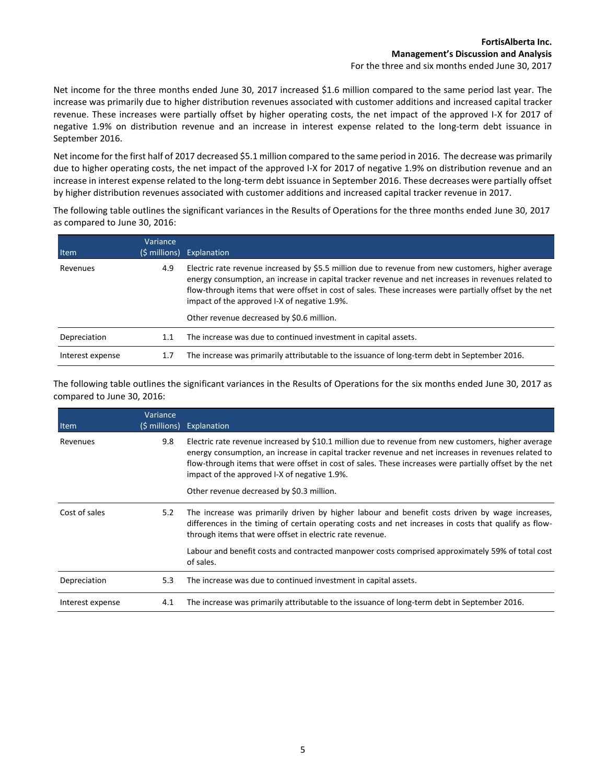Net income for the three months ended June 30, 2017 increased \$1.6 million compared to the same period last year. The increase was primarily due to higher distribution revenues associated with customer additions and increased capital tracker revenue. These increases were partially offset by higher operating costs, the net impact of the approved I-X for 2017 of negative 1.9% on distribution revenue and an increase in interest expense related to the long-term debt issuance in September 2016.

Net income for the first half of 2017 decreased \$5.1 million compared to the same period in 2016. The decrease was primarily due to higher operating costs, the net impact of the approved I-X for 2017 of negative 1.9% on distribution revenue and an increase in interest expense related to the long-term debt issuance in September 2016. These decreases were partially offset by higher distribution revenues associated with customer additions and increased capital tracker revenue in 2017.

The following table outlines the significant variances in the Results of Operations for the three months ended June 30, 2017 as compared to June 30, 2016:

| Item             | Variance | (\$ millions) Explanation                                                                                                                                                                                                                                                                                                                                           |
|------------------|----------|---------------------------------------------------------------------------------------------------------------------------------------------------------------------------------------------------------------------------------------------------------------------------------------------------------------------------------------------------------------------|
| Revenues         | 4.9      | Electric rate revenue increased by \$5.5 million due to revenue from new customers, higher average<br>energy consumption, an increase in capital tracker revenue and net increases in revenues related to<br>flow-through items that were offset in cost of sales. These increases were partially offset by the net<br>impact of the approved I-X of negative 1.9%. |
|                  |          | Other revenue decreased by \$0.6 million.                                                                                                                                                                                                                                                                                                                           |
| Depreciation     | 1.1      | The increase was due to continued investment in capital assets.                                                                                                                                                                                                                                                                                                     |
| Interest expense | 1.7      | The increase was primarily attributable to the issuance of long-term debt in September 2016.                                                                                                                                                                                                                                                                        |

The following table outlines the significant variances in the Results of Operations for the six months ended June 30, 2017 as compared to June 30, 2016:

| Item             | Variance<br>(\$ millions) | Explanation                                                                                                                                                                                                                                                                                                                                                                                                       |
|------------------|---------------------------|-------------------------------------------------------------------------------------------------------------------------------------------------------------------------------------------------------------------------------------------------------------------------------------------------------------------------------------------------------------------------------------------------------------------|
| Revenues         | 9.8                       | Electric rate revenue increased by \$10.1 million due to revenue from new customers, higher average<br>energy consumption, an increase in capital tracker revenue and net increases in revenues related to<br>flow-through items that were offset in cost of sales. These increases were partially offset by the net<br>impact of the approved I-X of negative 1.9%.<br>Other revenue decreased by \$0.3 million. |
| Cost of sales    | 5.2                       | The increase was primarily driven by higher labour and benefit costs driven by wage increases,<br>differences in the timing of certain operating costs and net increases in costs that qualify as flow-<br>through items that were offset in electric rate revenue.                                                                                                                                               |
|                  |                           | Labour and benefit costs and contracted manpower costs comprised approximately 59% of total cost<br>of sales.                                                                                                                                                                                                                                                                                                     |
| Depreciation     | 5.3                       | The increase was due to continued investment in capital assets.                                                                                                                                                                                                                                                                                                                                                   |
| Interest expense | 4.1                       | The increase was primarily attributable to the issuance of long-term debt in September 2016.                                                                                                                                                                                                                                                                                                                      |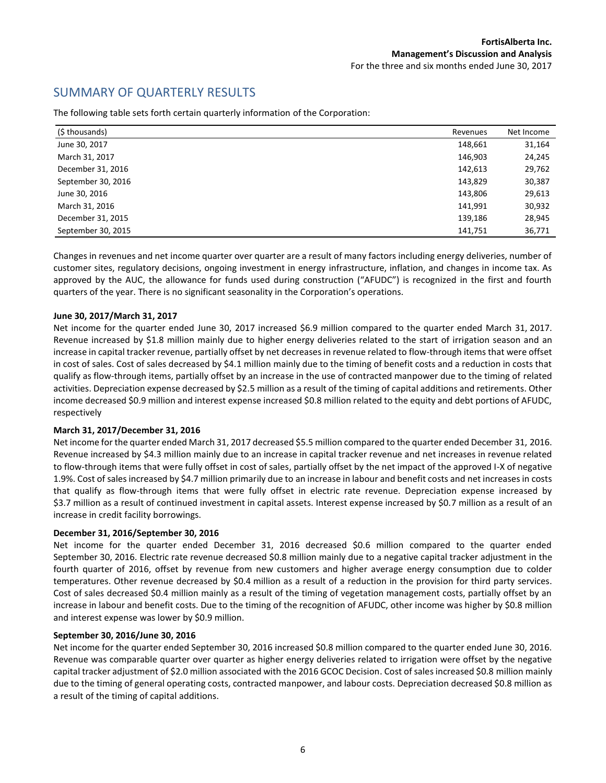# SUMMARY OF QUARTERLY RESULTS

| (\$ thousands)     | Revenues | Net Income |
|--------------------|----------|------------|
| June 30, 2017      | 148,661  | 31,164     |
| March 31, 2017     | 146,903  | 24,245     |
| December 31, 2016  | 142,613  | 29,762     |
| September 30, 2016 | 143,829  | 30,387     |
| June 30, 2016      | 143,806  | 29,613     |
| March 31, 2016     | 141,991  | 30,932     |
| December 31, 2015  | 139,186  | 28,945     |
| September 30, 2015 | 141,751  | 36,771     |

The following table sets forth certain quarterly information of the Corporation:

Changes in revenues and net income quarter over quarter are a result of many factors including energy deliveries, number of customer sites, regulatory decisions, ongoing investment in energy infrastructure, inflation, and changes in income tax. As approved by the AUC, the allowance for funds used during construction ("AFUDC") is recognized in the first and fourth quarters of the year. There is no significant seasonality in the Corporation's operations.

#### **June 30, 2017/March 31, 2017**

Net income for the quarter ended June 30, 2017 increased \$6.9 million compared to the quarter ended March 31, 2017. Revenue increased by \$1.8 million mainly due to higher energy deliveries related to the start of irrigation season and an increase in capital tracker revenue, partially offset by net decreases in revenue related to flow-through items that were offset in cost of sales. Cost of sales decreased by \$4.1 million mainly due to the timing of benefit costs and a reduction in costs that qualify as flow-through items, partially offset by an increase in the use of contracted manpower due to the timing of related activities. Depreciation expense decreased by \$2.5 million as a result of the timing of capital additions and retirements. Other income decreased \$0.9 million and interest expense increased \$0.8 million related to the equity and debt portions of AFUDC, respectively

#### **March 31, 2017/December 31, 2016**

Net income for the quarter ended March 31, 2017 decreased \$5.5 million compared to the quarter ended December 31, 2016. Revenue increased by \$4.3 million mainly due to an increase in capital tracker revenue and net increases in revenue related to flow-through items that were fully offset in cost of sales, partially offset by the net impact of the approved I-X of negative 1.9%. Cost of sales increased by \$4.7 million primarily due to an increase in labour and benefit costs and net increases in costs that qualify as flow-through items that were fully offset in electric rate revenue. Depreciation expense increased by \$3.7 million as a result of continued investment in capital assets. Interest expense increased by \$0.7 million as a result of an increase in credit facility borrowings.

#### **December 31, 2016/September 30, 2016**

Net income for the quarter ended December 31, 2016 decreased \$0.6 million compared to the quarter ended September 30, 2016. Electric rate revenue decreased \$0.8 million mainly due to a negative capital tracker adjustment in the fourth quarter of 2016, offset by revenue from new customers and higher average energy consumption due to colder temperatures. Other revenue decreased by \$0.4 million as a result of a reduction in the provision for third party services. Cost of sales decreased \$0.4 million mainly as a result of the timing of vegetation management costs, partially offset by an increase in labour and benefit costs. Due to the timing of the recognition of AFUDC, other income was higher by \$0.8 million and interest expense was lower by \$0.9 million.

#### **September 30, 2016/June 30, 2016**

Net income for the quarter ended September 30, 2016 increased \$0.8 million compared to the quarter ended June 30, 2016. Revenue was comparable quarter over quarter as higher energy deliveries related to irrigation were offset by the negative capital tracker adjustment of \$2.0 million associated with the 2016 GCOC Decision. Cost of sales increased \$0.8 million mainly due to the timing of general operating costs, contracted manpower, and labour costs. Depreciation decreased \$0.8 million as a result of the timing of capital additions.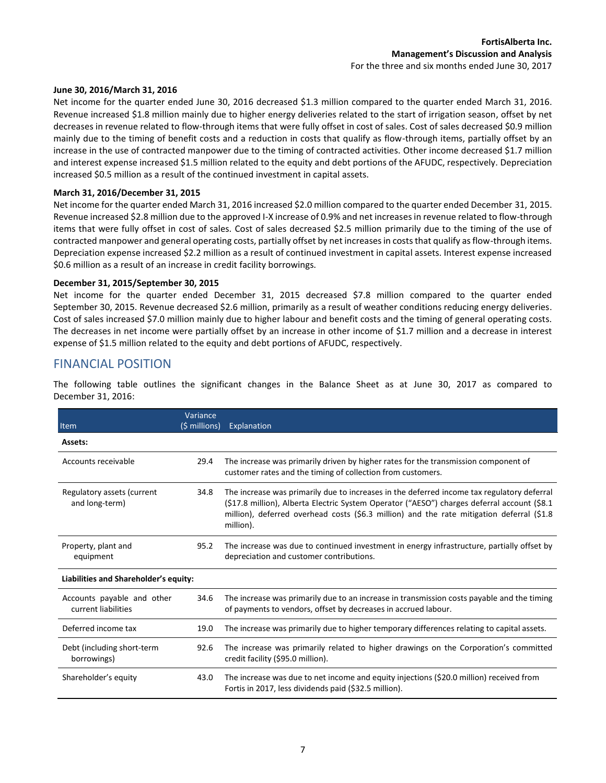#### **June 30, 2016/March 31, 2016**

Net income for the quarter ended June 30, 2016 decreased \$1.3 million compared to the quarter ended March 31, 2016. Revenue increased \$1.8 million mainly due to higher energy deliveries related to the start of irrigation season, offset by net decreases in revenue related to flow-through items that were fully offset in cost of sales. Cost of sales decreased \$0.9 million mainly due to the timing of benefit costs and a reduction in costs that qualify as flow-through items, partially offset by an increase in the use of contracted manpower due to the timing of contracted activities. Other income decreased \$1.7 million and interest expense increased \$1.5 million related to the equity and debt portions of the AFUDC, respectively. Depreciation increased \$0.5 million as a result of the continued investment in capital assets.

#### **March 31, 2016/December 31, 2015**

Net income for the quarter ended March 31, 2016 increased \$2.0 million compared to the quarter ended December 31, 2015. Revenue increased \$2.8 million due to the approved I-X increase of 0.9% and net increases in revenue related to flow-through items that were fully offset in cost of sales. Cost of sales decreased \$2.5 million primarily due to the timing of the use of contracted manpower and general operating costs, partially offset by net increases in costs that qualify as flow-through items. Depreciation expense increased \$2.2 million as a result of continued investment in capital assets. Interest expense increased \$0.6 million as a result of an increase in credit facility borrowings.

#### **December 31, 2015/September 30, 2015**

Net income for the quarter ended December 31, 2015 decreased \$7.8 million compared to the quarter ended September 30, 2015. Revenue decreased \$2.6 million, primarily as a result of weather conditions reducing energy deliveries. Cost of sales increased \$7.0 million mainly due to higher labour and benefit costs and the timing of general operating costs. The decreases in net income were partially offset by an increase in other income of \$1.7 million and a decrease in interest expense of \$1.5 million related to the equity and debt portions of AFUDC, respectively.

### FINANCIAL POSITION

The following table outlines the significant changes in the Balance Sheet as at June 30, 2017 as compared to December 31, 2016:

| Item                                              | Variance<br>(\$ millions) | Explanation                                                                                                                                                                                                                                                                                         |
|---------------------------------------------------|---------------------------|-----------------------------------------------------------------------------------------------------------------------------------------------------------------------------------------------------------------------------------------------------------------------------------------------------|
| Assets:                                           |                           |                                                                                                                                                                                                                                                                                                     |
| Accounts receivable                               | 29.4                      | The increase was primarily driven by higher rates for the transmission component of<br>customer rates and the timing of collection from customers.                                                                                                                                                  |
| Regulatory assets (current<br>and long-term)      | 34.8                      | The increase was primarily due to increases in the deferred income tax regulatory deferral<br>(\$17.8 million), Alberta Electric System Operator ("AESO") charges deferral account (\$8.1<br>million), deferred overhead costs (\$6.3 million) and the rate mitigation deferral (\$1.8<br>million). |
| Property, plant and<br>equipment                  | 95.2                      | The increase was due to continued investment in energy infrastructure, partially offset by<br>depreciation and customer contributions.                                                                                                                                                              |
| Liabilities and Shareholder's equity:             |                           |                                                                                                                                                                                                                                                                                                     |
| Accounts payable and other<br>current liabilities | 34.6                      | The increase was primarily due to an increase in transmission costs payable and the timing<br>of payments to vendors, offset by decreases in accrued labour.                                                                                                                                        |
| Deferred income tax                               | 19.0                      | The increase was primarily due to higher temporary differences relating to capital assets.                                                                                                                                                                                                          |
| Debt (including short-term<br>borrowings)         | 92.6                      | The increase was primarily related to higher drawings on the Corporation's committed<br>credit facility (\$95.0 million).                                                                                                                                                                           |
| Shareholder's equity                              | 43.0                      | The increase was due to net income and equity injections (\$20.0 million) received from<br>Fortis in 2017, less dividends paid (\$32.5 million).                                                                                                                                                    |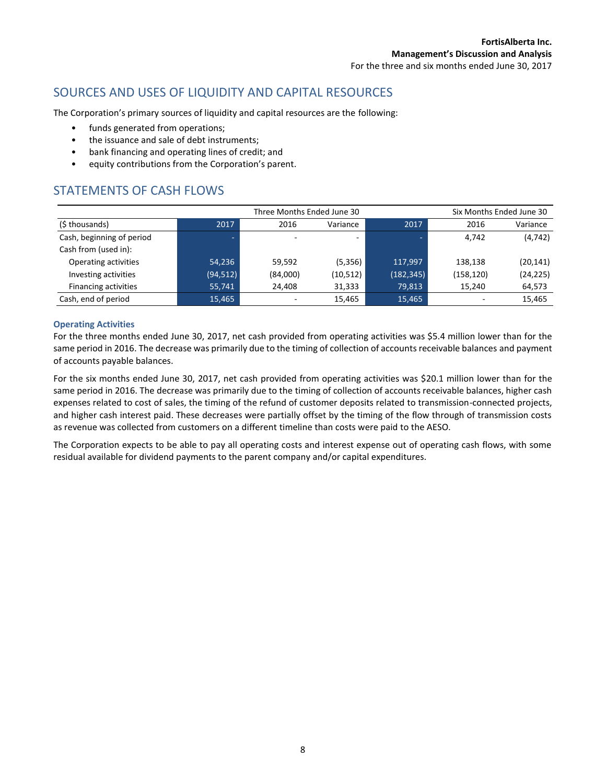# SOURCES AND USES OF LIQUIDITY AND CAPITAL RESOURCES

The Corporation's primary sources of liquidity and capital resources are the following:

- funds generated from operations;
- the issuance and sale of debt instruments;
- bank financing and operating lines of credit; and
- equity contributions from the Corporation's parent.

# STATEMENTS OF CASH FLOWS

| Three Months Ended June 30  |           |                          |           |            |            | Six Months Ended June 30 |
|-----------------------------|-----------|--------------------------|-----------|------------|------------|--------------------------|
| (\$ thousands)              | 2017      | 2016                     | Variance  | 2017       | 2016       | Variance                 |
| Cash, beginning of period   | ٠         |                          |           | -          | 4,742      | (4, 742)                 |
| Cash from (used in):        |           |                          |           |            |            |                          |
| Operating activities        | 54,236    | 59.592                   | (5, 356)  | 117.997    | 138.138    | (20, 141)                |
| Investing activities        | (94, 512) | (84,000)                 | (10, 512) | (182, 345) | (158, 120) | (24, 225)                |
| <b>Financing activities</b> | 55,741    | 24.408                   | 31,333    | 79,813     | 15,240     | 64,573                   |
| Cash, end of period         | 15.465    | $\overline{\phantom{a}}$ | 15,465    | 15,465     | -          | 15.465                   |

#### **Operating Activities**

For the three months ended June 30, 2017, net cash provided from operating activities was \$5.4 million lower than for the same period in 2016. The decrease was primarily due to the timing of collection of accounts receivable balances and payment of accounts payable balances.

For the six months ended June 30, 2017, net cash provided from operating activities was \$20.1 million lower than for the same period in 2016. The decrease was primarily due to the timing of collection of accounts receivable balances, higher cash expenses related to cost of sales, the timing of the refund of customer deposits related to transmission-connected projects, and higher cash interest paid. These decreases were partially offset by the timing of the flow through of transmission costs as revenue was collected from customers on a different timeline than costs were paid to the AESO.

The Corporation expects to be able to pay all operating costs and interest expense out of operating cash flows, with some residual available for dividend payments to the parent company and/or capital expenditures.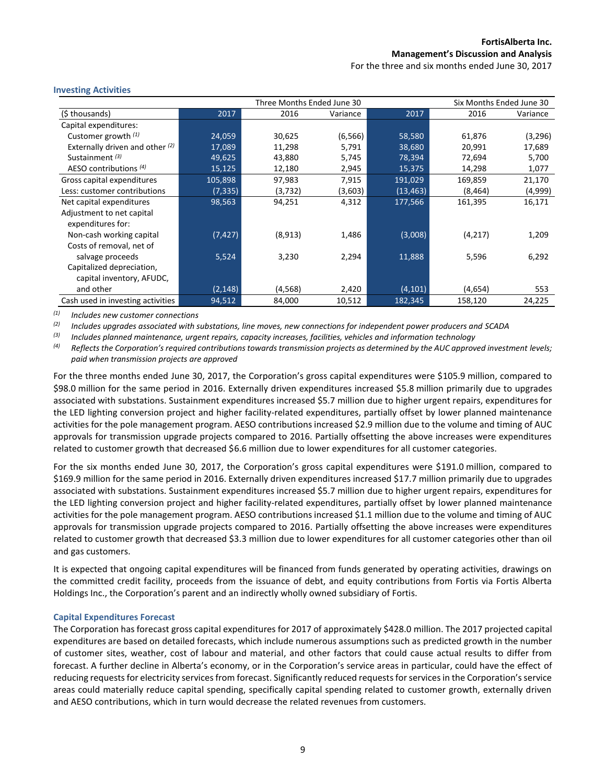For the three and six months ended June 30, 2017

| Three Months Ended June 30<br>Six Months Ended June 30 |          |          |          |           |          |          |
|--------------------------------------------------------|----------|----------|----------|-----------|----------|----------|
| (\$ thousands)                                         | 2017     | 2016     | Variance | 2017      | 2016     | Variance |
| Capital expenditures:                                  |          |          |          |           |          |          |
| Customer growth $(1)$                                  | 24,059   | 30,625   | (6, 566) | 58,580    | 61,876   | (3,296)  |
| Externally driven and other (2)                        | 17,089   | 11,298   | 5,791    | 38,680    | 20,991   | 17,689   |
| Sustainment <sup>(3)</sup>                             | 49,625   | 43,880   | 5,745    | 78,394    | 72,694   | 5,700    |
| AESO contributions $(4)$                               | 15,125   | 12,180   | 2,945    | 15,375    | 14,298   | 1,077    |
| Gross capital expenditures                             | 105,898  | 97,983   | 7,915    | 191,029   | 169,859  | 21,170   |
| Less: customer contributions                           | (7, 335) | (3, 732) | (3,603)  | (13, 463) | (8, 464) | (4,999)  |
| Net capital expenditures                               | 98,563   | 94,251   | 4,312    | 177,566   | 161,395  | 16,171   |
| Adjustment to net capital                              |          |          |          |           |          |          |
| expenditures for:                                      |          |          |          |           |          |          |
| Non-cash working capital                               | (7, 427) | (8,913)  | 1,486    | (3,008)   | (4,217)  | 1,209    |
| Costs of removal, net of                               |          |          |          |           |          |          |
| salvage proceeds                                       | 5,524    | 3,230    | 2,294    | 11,888    | 5,596    | 6,292    |
| Capitalized depreciation,                              |          |          |          |           |          |          |
| capital inventory, AFUDC,                              |          |          |          |           |          |          |
| and other                                              | (2, 148) | (4,568)  | 2,420    | (4, 101)  | (4,654)  | 553      |
| Cash used in investing activities                      | 94,512   | 84,000   | 10,512   | 182,345   | 158,120  | 24,225   |

#### **Investing Activities**

*(1) Includes new customer connections*

*(2) Includes upgrades associated with substations, line moves, new connections for independent power producers and SCADA* 

*(3) Includes planned maintenance, urgent repairs, capacity increases, facilities, vehicles and information technology*

<sup>(4)</sup> Reflects the Corporation's required contributions towards transmission projects as determined by the AUC approved investment levels; *paid when transmission projects are approved*

For the three months ended June 30, 2017, the Corporation's gross capital expenditures were \$105.9 million, compared to \$98.0 million for the same period in 2016. Externally driven expenditures increased \$5.8 million primarily due to upgrades associated with substations. Sustainment expenditures increased \$5.7 million due to higher urgent repairs, expenditures for the LED lighting conversion project and higher facility-related expenditures, partially offset by lower planned maintenance activities for the pole management program. AESO contributions increased \$2.9 million due to the volume and timing of AUC approvals for transmission upgrade projects compared to 2016. Partially offsetting the above increases were expenditures related to customer growth that decreased \$6.6 million due to lower expenditures for all customer categories.

For the six months ended June 30, 2017, the Corporation's gross capital expenditures were \$191.0 million, compared to \$169.9 million for the same period in 2016. Externally driven expenditures increased \$17.7 million primarily due to upgrades associated with substations. Sustainment expenditures increased \$5.7 million due to higher urgent repairs, expenditures for the LED lighting conversion project and higher facility-related expenditures, partially offset by lower planned maintenance activities for the pole management program. AESO contributions increased \$1.1 million due to the volume and timing of AUC approvals for transmission upgrade projects compared to 2016. Partially offsetting the above increases were expenditures related to customer growth that decreased \$3.3 million due to lower expenditures for all customer categories other than oil and gas customers.

It is expected that ongoing capital expenditures will be financed from funds generated by operating activities, drawings on the committed credit facility, proceeds from the issuance of debt, and equity contributions from Fortis via Fortis Alberta Holdings Inc., the Corporation's parent and an indirectly wholly owned subsidiary of Fortis.

#### **Capital Expenditures Forecast**

The Corporation has forecast gross capital expenditures for 2017 of approximately \$428.0 million. The 2017 projected capital expenditures are based on detailed forecasts, which include numerous assumptions such as predicted growth in the number of customer sites, weather, cost of labour and material, and other factors that could cause actual results to differ from forecast. A further decline in Alberta's economy, or in the Corporation's service areas in particular, could have the effect of reducing requests for electricity services from forecast. Significantly reduced requests for services in the Corporation's service areas could materially reduce capital spending, specifically capital spending related to customer growth, externally driven and AESO contributions, which in turn would decrease the related revenues from customers.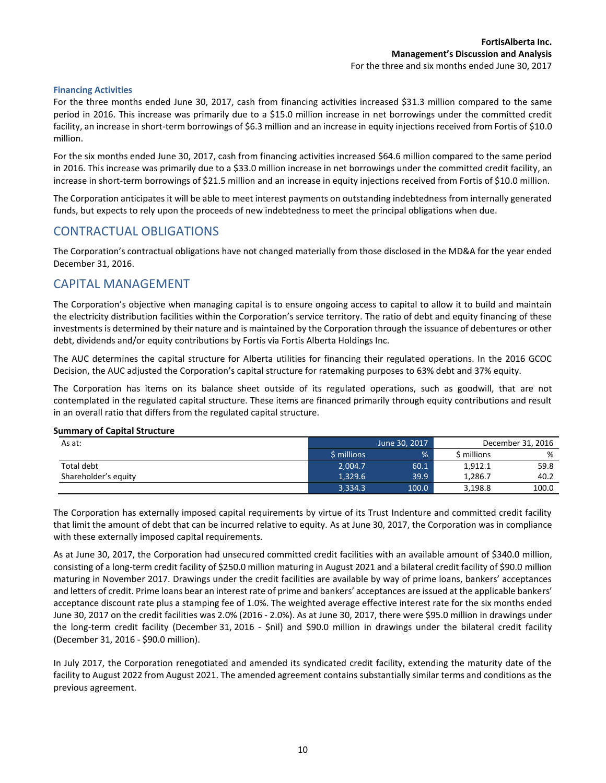#### **Financing Activities**

For the three months ended June 30, 2017, cash from financing activities increased \$31.3 million compared to the same period in 2016. This increase was primarily due to a \$15.0 million increase in net borrowings under the committed credit facility, an increase in short-term borrowings of \$6.3 million and an increase in equity injections received from Fortis of \$10.0 million.

For the six months ended June 30, 2017, cash from financing activities increased \$64.6 million compared to the same period in 2016. This increase was primarily due to a \$33.0 million increase in net borrowings under the committed credit facility, an increase in short-term borrowings of \$21.5 million and an increase in equity injections received from Fortis of \$10.0 million.

The Corporation anticipates it will be able to meet interest payments on outstanding indebtedness from internally generated funds, but expects to rely upon the proceeds of new indebtedness to meet the principal obligations when due.

### CONTRACTUAL OBLIGATIONS

The Corporation's contractual obligations have not changed materially from those disclosed in the MD&A for the year ended December 31, 2016.

### CAPITAL MANAGEMENT

The Corporation's objective when managing capital is to ensure ongoing access to capital to allow it to build and maintain the electricity distribution facilities within the Corporation's service territory. The ratio of debt and equity financing of these investments is determined by their nature and is maintained by the Corporation through the issuance of debentures or other debt, dividends and/or equity contributions by Fortis via Fortis Alberta Holdings Inc.

The AUC determines the capital structure for Alberta utilities for financing their regulated operations. In the 2016 GCOC Decision, the AUC adjusted the Corporation's capital structure for ratemaking purposes to 63% debt and 37% equity.

The Corporation has items on its balance sheet outside of its regulated operations, such as goodwill, that are not contemplated in the regulated capital structure. These items are financed primarily through equity contributions and result in an overall ratio that differs from the regulated capital structure.

#### **Summary of Capital Structure**

| As at:               | June 30, 2017 |       |             | December 31, 2016 |
|----------------------|---------------|-------|-------------|-------------------|
|                      | \$ millions   | %     | \$ millions | %                 |
| Total debt           | 2.004.7       | 60.1  | 1,912.1     | 59.8              |
| Shareholder's equity | 1.329.6       | 39.9  | 1.286.7     | 40.2              |
|                      | 3,334.3       | 100.0 | 3,198.8     | 100.0             |

The Corporation has externally imposed capital requirements by virtue of its Trust Indenture and committed credit facility that limit the amount of debt that can be incurred relative to equity. As at June 30, 2017, the Corporation was in compliance with these externally imposed capital requirements.

As at June 30, 2017, the Corporation had unsecured committed credit facilities with an available amount of \$340.0 million, consisting of a long-term credit facility of \$250.0 million maturing in August 2021 and a bilateral credit facility of \$90.0 million maturing in November 2017. Drawings under the credit facilities are available by way of prime loans, bankers' acceptances and letters of credit. Prime loans bear an interest rate of prime and bankers' acceptances are issued at the applicable bankers' acceptance discount rate plus a stamping fee of 1.0%. The weighted average effective interest rate for the six months ended June 30, 2017 on the credit facilities was 2.0% (2016 - 2.0%). As at June 30, 2017, there were \$95.0 million in drawings under the long-term credit facility (December 31, 2016 - \$nil) and \$90.0 million in drawings under the bilateral credit facility (December 31, 2016 - \$90.0 million).

In July 2017, the Corporation renegotiated and amended its syndicated credit facility, extending the maturity date of the facility to August 2022 from August 2021. The amended agreement contains substantially similar terms and conditions as the previous agreement.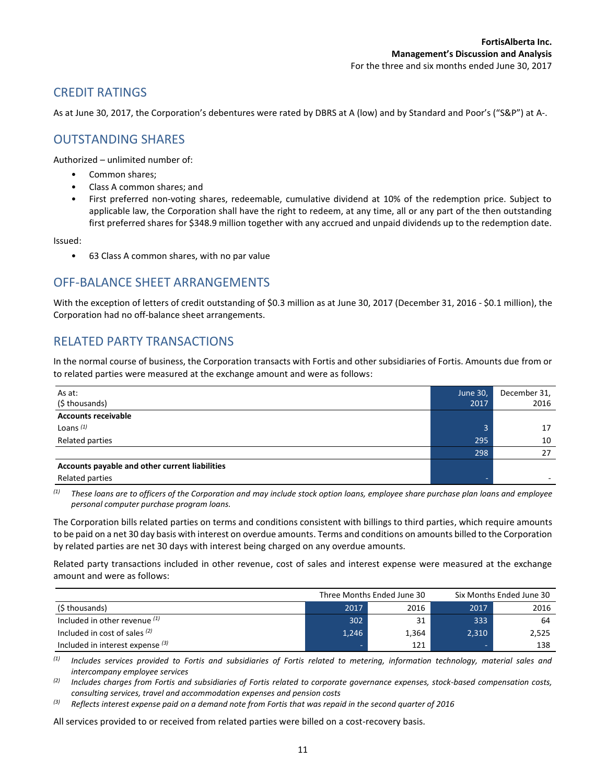# CREDIT RATINGS

As at June 30, 2017, the Corporation's debentures were rated by DBRS at A (low) and by Standard and Poor's ("S&P") at A-.

### OUTSTANDING SHARES

Authorized – unlimited number of:

- Common shares;
- Class A common shares; and
- First preferred non-voting shares, redeemable, cumulative dividend at 10% of the redemption price. Subject to applicable law, the Corporation shall have the right to redeem, at any time, all or any part of the then outstanding first preferred shares for \$348.9 million together with any accrued and unpaid dividends up to the redemption date.

Issued:

• 63 Class A common shares, with no par value

### OFF-BALANCE SHEET ARRANGEMENTS

With the exception of letters of credit outstanding of \$0.3 million as at June 30, 2017 (December 31, 2016 - \$0.1 million), the Corporation had no off-balance sheet arrangements.

# RELATED PARTY TRANSACTIONS

In the normal course of business, the Corporation transacts with Fortis and other subsidiaries of Fortis. Amounts due from or to related parties were measured at the exchange amount and were as follows:

| As at:                                         | June 30, | December 31, |
|------------------------------------------------|----------|--------------|
| (\$ thousands)                                 | 2017     | 2016         |
| <b>Accounts receivable</b>                     |          |              |
| Loans $(1)$                                    | 3        | 17           |
| Related parties                                | 295      | 10           |
|                                                | 298      | 27           |
| Accounts payable and other current liabilities |          |              |
| Related parties                                |          |              |

*(1) These loans are to officers of the Corporation and may include stock option loans, employee share purchase plan loans and employee personal computer purchase program loans.*

The Corporation bills related parties on terms and conditions consistent with billings to third parties, which require amounts to be paid on a net 30 day basis with interest on overdue amounts. Terms and conditions on amounts billed to the Corporation by related parties are net 30 days with interest being charged on any overdue amounts.

Related party transactions included in other revenue, cost of sales and interest expense were measured at the exchange amount and were as follows:

|                                    | Three Months Ended June 30 |       | Six Months Ended June 30 |       |
|------------------------------------|----------------------------|-------|--------------------------|-------|
| (\$ thousands)                     | 2017                       | 2016  | 2017                     | 2016  |
| Included in other revenue $(1)$    | 302                        | 31    | 333                      | 64    |
| Included in cost of sales $(2)$    | 1,246                      | 1,364 | 2,310                    | 2,525 |
| Included in interest expense $(3)$ |                            | 121   |                          | 138   |

*(1) Includes services provided to Fortis and subsidiaries of Fortis related to metering, information technology, material sales and intercompany employee services*

*(2) Includes charges from Fortis and subsidiaries of Fortis related to corporate governance expenses, stock-based compensation costs, consulting services, travel and accommodation expenses and pension costs*

*(3) Reflects interest expense paid on a demand note from Fortis that was repaid in the second quarter of 2016*

All services provided to or received from related parties were billed on a cost-recovery basis.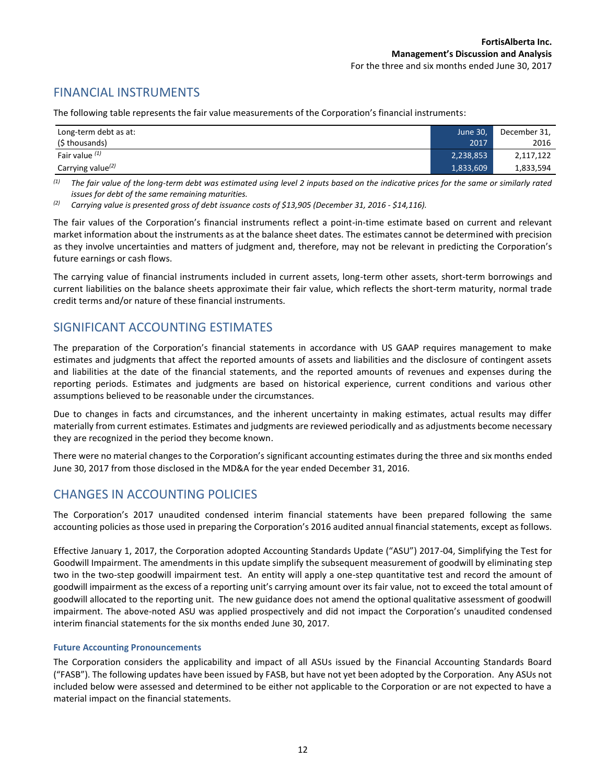# FINANCIAL INSTRUMENTS

The following table represents the fair value measurements of the Corporation's financial instruments:

| Long-term debt as at: | June 30,  | December 31, |
|-----------------------|-----------|--------------|
| (\$ thousands)        | 2017      | 2016         |
| Fair value $(1)$      | 2,238,853 | 2,117,122    |
| Carrying value $(2)$  | 1,833,609 | 1,833,594    |

*(1) The fair value of the long-term debt was estimated using level 2 inputs based on the indicative prices for the same or similarly rated issues for debt of the same remaining maturities.* 

*(2) Carrying value is presented gross of debt issuance costs of \$13,905 (December 31, 2016 - \$14,116).*

The fair values of the Corporation's financial instruments reflect a point-in-time estimate based on current and relevant market information about the instruments as at the balance sheet dates. The estimates cannot be determined with precision as they involve uncertainties and matters of judgment and, therefore, may not be relevant in predicting the Corporation's future earnings or cash flows.

The carrying value of financial instruments included in current assets, long-term other assets, short-term borrowings and current liabilities on the balance sheets approximate their fair value, which reflects the short-term maturity, normal trade credit terms and/or nature of these financial instruments.

### SIGNIFICANT ACCOUNTING ESTIMATES

The preparation of the Corporation's financial statements in accordance with US GAAP requires management to make estimates and judgments that affect the reported amounts of assets and liabilities and the disclosure of contingent assets and liabilities at the date of the financial statements, and the reported amounts of revenues and expenses during the reporting periods. Estimates and judgments are based on historical experience, current conditions and various other assumptions believed to be reasonable under the circumstances.

Due to changes in facts and circumstances, and the inherent uncertainty in making estimates, actual results may differ materially from current estimates. Estimates and judgments are reviewed periodically and as adjustments become necessary they are recognized in the period they become known.

There were no material changes to the Corporation's significant accounting estimates during the three and six months ended June 30, 2017 from those disclosed in the MD&A for the year ended December 31, 2016.

### CHANGES IN ACCOUNTING POLICIES

The Corporation's 2017 unaudited condensed interim financial statements have been prepared following the same accounting policies as those used in preparing the Corporation's 2016 audited annual financial statements, except as follows.

Effective January 1, 2017, the Corporation adopted Accounting Standards Update ("ASU") 2017-04, Simplifying the Test for Goodwill Impairment. The amendments in this update simplify the subsequent measurement of goodwill by eliminating step two in the two-step goodwill impairment test. An entity will apply a one-step quantitative test and record the amount of goodwill impairment as the excess of a reporting unit's carrying amount over its fair value, not to exceed the total amount of goodwill allocated to the reporting unit. The new guidance does not amend the optional qualitative assessment of goodwill impairment. The above-noted ASU was applied prospectively and did not impact the Corporation's unaudited condensed interim financial statements for the six months ended June 30, 2017.

#### **Future Accounting Pronouncements**

The Corporation considers the applicability and impact of all ASUs issued by the Financial Accounting Standards Board ("FASB"). The following updates have been issued by FASB, but have not yet been adopted by the Corporation. Any ASUs not included below were assessed and determined to be either not applicable to the Corporation or are not expected to have a material impact on the financial statements.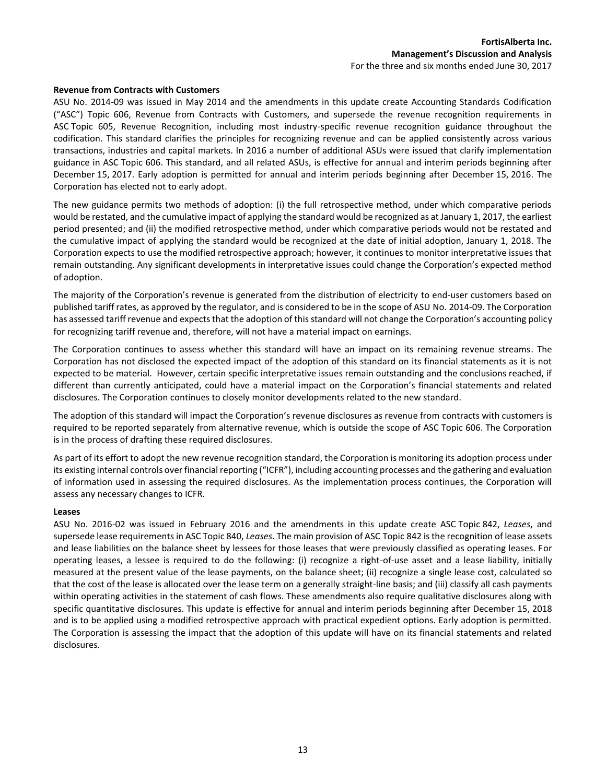#### **Revenue from Contracts with Customers**

ASU No. 2014-09 was issued in May 2014 and the amendments in this update create Accounting Standards Codification ("ASC") Topic 606, Revenue from Contracts with Customers, and supersede the revenue recognition requirements in ASC Topic 605, Revenue Recognition, including most industry-specific revenue recognition guidance throughout the codification. This standard clarifies the principles for recognizing revenue and can be applied consistently across various transactions, industries and capital markets. In 2016 a number of additional ASUs were issued that clarify implementation guidance in ASC Topic 606. This standard, and all related ASUs, is effective for annual and interim periods beginning after December 15, 2017. Early adoption is permitted for annual and interim periods beginning after December 15, 2016. The Corporation has elected not to early adopt.

The new guidance permits two methods of adoption: (i) the full retrospective method, under which comparative periods would be restated, and the cumulative impact of applying the standard would be recognized as at January 1, 2017, the earliest period presented; and (ii) the modified retrospective method, under which comparative periods would not be restated and the cumulative impact of applying the standard would be recognized at the date of initial adoption, January 1, 2018. The Corporation expects to use the modified retrospective approach; however, it continues to monitor interpretative issues that remain outstanding. Any significant developments in interpretative issues could change the Corporation's expected method of adoption.

The majority of the Corporation's revenue is generated from the distribution of electricity to end-user customers based on published tariff rates, as approved by the regulator, and is considered to be in the scope of ASU No. 2014-09. The Corporation has assessed tariff revenue and expects that the adoption of this standard will not change the Corporation's accounting policy for recognizing tariff revenue and, therefore, will not have a material impact on earnings.

The Corporation continues to assess whether this standard will have an impact on its remaining revenue streams. The Corporation has not disclosed the expected impact of the adoption of this standard on its financial statements as it is not expected to be material. However, certain specific interpretative issues remain outstanding and the conclusions reached, if different than currently anticipated, could have a material impact on the Corporation's financial statements and related disclosures. The Corporation continues to closely monitor developments related to the new standard.

The adoption of this standard will impact the Corporation's revenue disclosures as revenue from contracts with customers is required to be reported separately from alternative revenue, which is outside the scope of ASC Topic 606. The Corporation is in the process of drafting these required disclosures.

As part of its effort to adopt the new revenue recognition standard, the Corporation is monitoring its adoption process under its existing internal controls over financial reporting ("ICFR"), including accounting processes and the gathering and evaluation of information used in assessing the required disclosures. As the implementation process continues, the Corporation will assess any necessary changes to ICFR.

#### **Leases**

ASU No. 2016-02 was issued in February 2016 and the amendments in this update create ASC Topic 842, *Leases*, and supersede lease requirements in ASC Topic 840, *Leases*. The main provision of ASC Topic 842 is the recognition of lease assets and lease liabilities on the balance sheet by lessees for those leases that were previously classified as operating leases. For operating leases, a lessee is required to do the following: (i) recognize a right-of-use asset and a lease liability, initially measured at the present value of the lease payments, on the balance sheet; (ii) recognize a single lease cost, calculated so that the cost of the lease is allocated over the lease term on a generally straight-line basis; and (iii) classify all cash payments within operating activities in the statement of cash flows. These amendments also require qualitative disclosures along with specific quantitative disclosures. This update is effective for annual and interim periods beginning after December 15, 2018 and is to be applied using a modified retrospective approach with practical expedient options. Early adoption is permitted. The Corporation is assessing the impact that the adoption of this update will have on its financial statements and related disclosures.